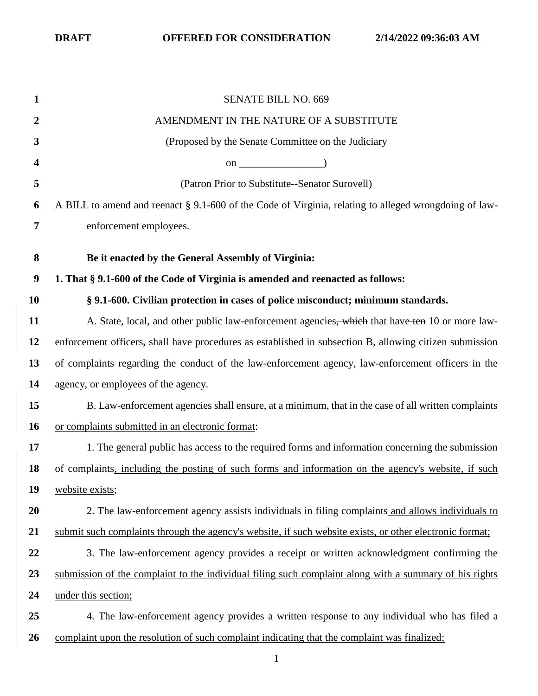| 1                       | <b>SENATE BILL NO. 669</b>                                                                               |
|-------------------------|----------------------------------------------------------------------------------------------------------|
| 2                       | AMENDMENT IN THE NATURE OF A SUBSTITUTE                                                                  |
| 3                       | (Proposed by the Senate Committee on the Judiciary                                                       |
| $\overline{\mathbf{4}}$ | on $\qquad \qquad$ (0.1)                                                                                 |
| 5                       | (Patron Prior to Substitute--Senator Surovell)                                                           |
| 6                       | A BILL to amend and reenact § 9.1-600 of the Code of Virginia, relating to alleged wrongdoing of law-    |
| $\overline{7}$          | enforcement employees.                                                                                   |
| 8                       |                                                                                                          |
|                         | Be it enacted by the General Assembly of Virginia:                                                       |
| $\boldsymbol{9}$        | 1. That § 9.1-600 of the Code of Virginia is amended and reenacted as follows:                           |
| <b>10</b>               | § 9.1-600. Civilian protection in cases of police misconduct; minimum standards.                         |
| 11                      | A. State, local, and other public law-enforcement agencies, which that have ten 10 or more law-          |
| 12                      | enforcement officers, shall have procedures as established in subsection B, allowing citizen submission  |
| 13                      | of complaints regarding the conduct of the law-enforcement agency, law-enforcement officers in the       |
| 14                      | agency, or employees of the agency.                                                                      |
| 15                      | B. Law-enforcement agencies shall ensure, at a minimum, that in the case of all written complaints       |
| 16                      | or complaints submitted in an electronic format:                                                         |
| 17                      | 1. The general public has access to the required forms and information concerning the submission         |
| 18                      | of complaints, including the posting of such forms and information on the agency's website, if such      |
| 19                      | website exists;                                                                                          |
| 20                      | 2. The law-enforcement agency assists individuals in filing complaints and allows individuals to         |
| 21                      | submit such complaints through the agency's website, if such website exists, or other electronic format; |
| 22                      | 3. The law-enforcement agency provides a receipt or written acknowledgment confirming the                |
| 23                      | submission of the complaint to the individual filing such complaint along with a summary of his rights   |
| 24                      | under this section;                                                                                      |
| 25                      | 4. The law-enforcement agency provides a written response to any individual who has filed a              |
| 26                      | complaint upon the resolution of such complaint indicating that the complaint was finalized;             |